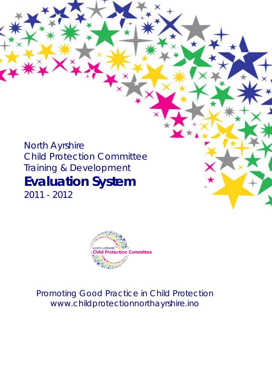# North Ayrshire Child Protection Committee Training & Development **Evaluation System**

2011 - 2012



*Promoting Good Practice in Child Protection www.childprotectionnorthayrshire.ino*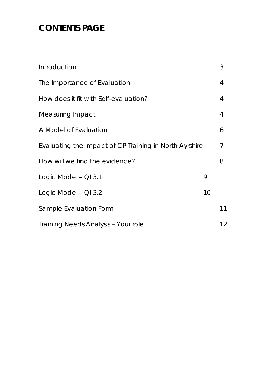## **CONTENTS PAGE**

| Introduction                                           |    | 3  |  |  |  |
|--------------------------------------------------------|----|----|--|--|--|
| The Importance of Evaluation                           |    | 4  |  |  |  |
| How does it fit with Self-evaluation?                  |    | 4  |  |  |  |
| Measuring Impact                                       |    | 4  |  |  |  |
| A Model of Evaluation                                  |    | 6  |  |  |  |
| Evaluating the Impact of CP Training in North Ayrshire |    |    |  |  |  |
| How will we find the evidence?                         |    | 8  |  |  |  |
| Logic Model - QI 3.1                                   | 9  |    |  |  |  |
| Logic Model - QI 3.2                                   | 10 |    |  |  |  |
| Sample Evaluation Form                                 |    | 11 |  |  |  |
| Training Needs Analysis - Your role                    |    | 12 |  |  |  |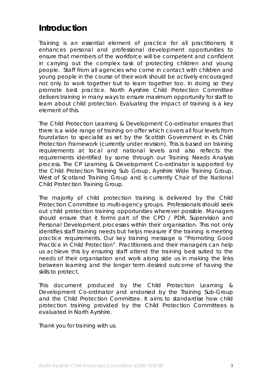### **Introduction**

Training is an essential element of practice for all practitioners; it enhances personal and professional development opportunities to ensure that members of the workforce will be competent and confident in carrying out the complex task of protecting children and young people. Staff from all agencies who come in contact with children and young people in the course of their work should be actively encouraged not only to work together but to learn together too. In doing so they promote best practice. North Ayrshire Child Protection Committee delivers training in many ways to ensure maximum opportunity for staff to learn about child protection. Evaluating the impact of training is a key element of this.

The Child Protection Learning & Development Co-ordinator ensures that there is a wide range of training on offer which covers all four levels from foundation to specialist as set by the Scottish Government in its Child Protection Framework (currently under revision). This is based on training requirements at local and national levels and also reflects the requirements identified by some through our Training Needs Analysis process. The CP Learning & Development Co-ordinator is supported by the Child Protection Training Sub Group, Ayrshire Wide Training Group, West of Scotland Training Group and is currently Chair of the National Child Protection Training Group.

The majority of child protection training is delivered by the Child Protection Committee to multi-agency groups. Professionals should seek out child protection training opportunities wherever possible. Managers should ensure that it forms part of the CPD / PDR, Supervision and Personal Development processes within their organisation. This not only identifies staff training needs but helps measure if the training is meeting practice requirements. Our key training message is "Promoting Good Practice in Child Protection". Practitioners and their managers can help us achieve this by ensuring staff attend the training best suited to the needs of their organisation and work along side us in making the links between learning and the longer term desired outcome of having the skills to protect.

This document produced by the Child Protection Learning & Development Co-ordinator and endorsed by the Training Sub-Group and the Child Protection Committee. It aims to standardise how child protection training provided by the Child Protection Committees is evaluated in North Ayrshire.

Thank you for training with us.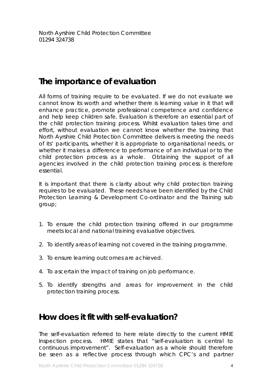### **The importance of evaluation**

All forms of training require to be evaluated. If we do not evaluate we cannot know its worth and whether there is learning value in it that will enhance practice, promote professional competence and confidence and help keep children safe. Evaluation is therefore an essential part of the child protection training process. Whilst evaluation takes time and effort, without evaluation we cannot know whether the training that North Ayrshire Child Protection Committee delivers is meeting the needs of its' participants, whether it is appropriate to organisational needs, or whether it makes a difference to performance of an individual or to the child protection process as a whole. Obtaining the support of all agencies involved in the child protection training process is therefore essential.

It is important that there is clarity about why child protection training requires to be evaluated. These needs have been identified by the Child Protection Learning & Development Co-ordinator and the Training sub group;

- 1. To ensure the child protection training offered in our programme meets local and national training evaluative objectives.
- 2. To identify areas of learning not covered in the training programme.
- 3. To ensure learning outcomes are achieved.
- 4. To ascertain the impact of training on job performance.
- 5. To identify strengths and areas for improvement in the child protection training process.

### **How does it fit with self-evaluation?**

The self-evaluation referred to here relate directly to the current HMIE Inspection process. HMIE states that "*self-evaluation is central to continuous improvement*". Self-evaluation as a whole should therefore be seen as a reflective process through which CPC's and partner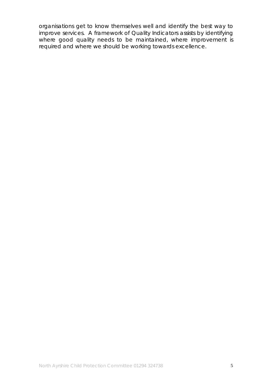organisations get to know themselves well and identify the best way to improve services. A framework of Quality Indicators assists by identifying where good quality needs to be maintained, where improvement is required and where we should be working towards excellence.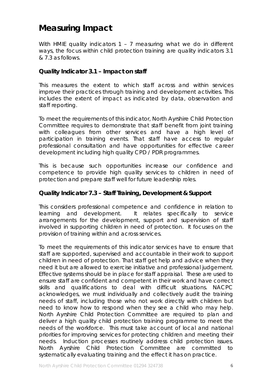### **Measuring Impact**

With HMIE quality indicators 1 - 7 measuring what we do in different ways, the focus within child protection training are quality indicators 3.1 & 7.3 as follows.

#### **Quality Indicator 3.1 – Impact on staff**

This measures the extent to which staff across and within services improve their practices through training and development activities. This includes the extent of impact as indicated by data, observation and staff reporting.

To meet the requirements of this indicator, North Ayrshire Child Protection Committee requires to demonstrate that staff benefit from joint training with colleagues from other services and have a high level of participation in training events. That staff have access to regular professional consultation and have opportunities for effective career development including high quality CPD / PDR programmes.

This is because such opportunities increase our confidence and competence to provide high quality services to children in need of protection and prepare staff well for future leadership roles.

#### **Quality Indicator 7.3 – Staff Training, Development & Support**

This considers professional competence and confidence in relation to learning and development. It relates specifically to service arrangements for the development, support and supervision of staff involved in supporting children in need of protection. It focuses on the provision of training within and across services.

To meet the requirements of this indicator services have to ensure that staff are supported, supervised and accountable in their work to support children in need of protection. That staff get help and advice when they need it but are allowed to exercise initiative and professional judgement. Effective systems should be in place for staff appraisal. These are used to ensure staff are confident and competent in their work and have correct skills and qualifications to deal with difficult situations. NACPC acknowledges, we must individually and collectively audit the training needs of staff, including those who not work directly with children but need to know how to respond when they see a child who may help. North Ayrshire Child Protection Committee are required to plan and deliver a high quality child protection training programme to meet the needs of the workforce. This must take account of local and national priorities for improving services for protecting children and meeting their needs. Induction processes routinely address child protection issues. North Ayrshire Child Protection Committee are committed to systematically evaluating training and the effect it has on practice.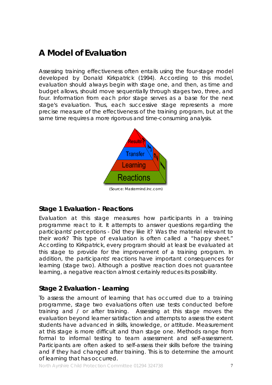### **A Model of Evaluation**

Assessing training effectiveness often entails using the four-stage model developed by Donald Kirkpatrick (1994). According to this model, evaluation should always begin with stage one, and then, as time and budget allows, should move sequentially through stages two, three, and four. Information from each prior stage serves as a base for the next stage's evaluation. Thus, each successive stage represents a more precise measure of the effectiveness of the training program, but at the same time requires a more rigorous and time-consuming analysis.



#### **Stage 1 Evaluation - Reactions**

Evaluation at this stage measures how participants in a training programme react to it. It attempts to answer questions regarding the participants' perceptions - Did they like it? Was the material relevant to their work? This type of evaluation is often called a "happy sheet." According to Kirkpatrick, every program should at least be evaluated at this stage to provide for the improvement of a training program. In addition, the participants' reactions have important consequences for learning (stage two). Although a positive reaction does not guarantee learning, a negative reaction almost certainly reduces its possibility.

#### **Stage 2 Evaluation - Learning**

To assess the amount of learning that has occurred due to a training programme, stage two evaluations often use tests conducted before training and / or after training. Assessing at this stage moves the evaluation beyond learner satisfaction and attempts to assess the extent students have advanced in skills, knowledge, or attitude. Measurement at this stage is more difficult and than stage one. Methods range from formal to informal testing to team assessment and self-assessment. Participants are often asked to self-assess their skills before the training and if they had changed after training. This is to determine the amount of learning that has occurred.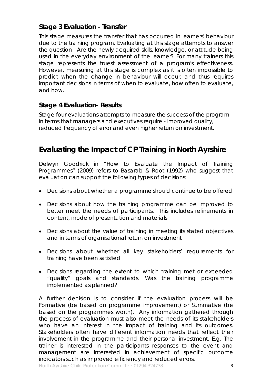#### **Stage 3 Evaluation - Transfer**

This stage measures the transfer that has occurred in learners' behaviour due to the training program. Evaluating at this stage attempts to answer the question - Are the newly acquired skills, knowledge, or attitude being used in the everyday environment of the learner? For many trainers this stage represents the truest assessment of a program's effectiveness. However, measuring at this stage is complex as it is often impossible to predict when the change in behaviour will occur, and thus requires important decisions in terms of when to evaluate, how often to evaluate, and how.

#### **Stage 4 Evaluation- Results**

Stage four evaluations attempts to measure the success of the program in terms that managers and executives require - improved quality, reduced frequency of error and even higher return on investment.

#### **Evaluating the Impact of CP Training in North Ayrshire**

Delwyn Goodrick in "How to Evaluate the Impact of Training Programmes" (2009) refers to Basarab & Root (1992) who suggest that evaluation can support the following types of decisions:

- Decisions about whether a programme should continue to be offered
- Decisions about how the training programme can be improved to better meet the needs of participants. This includes refinements in content, mode of presentation and materials
- Decisions about the value of training in meeting its stated objectives and in terms of organisational return on investment
- Decisions about whether all key stakeholders' requirements for training have been satisfied
- Decisions regarding the extent to which training met or exceeded "quality" goals and standards. Was the training programme implemented as planned?

A further decision is to consider if the evaluation process will be Formative (be based on programme improvement) or Summative (be based on the programmes worth). Any information gathered through the process of evaluation must also meet the needs of its stakeholders who have an interest in the impact of training and its outcomes. Stakeholders often have different information needs that reflect their involvement in the programme and their personal investment. E.g. The trainer is interested in the participants responses to the event and management are interested in achievement of specific outcome indicators such as improved efficiency and reduced errors.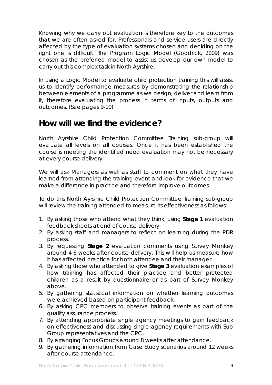Knowing why we carry out evaluation is therefore key to the outcomes that we are often asked for. Professionals and service users are directly affected by the type of evaluation systems chosen and deciding on the right one is difficult. The Program Logic Model (Goodrick, 2009) was chosen as the preferred model to assist us develop our own model to carry out this complex task in North Ayrshire.

In using a Logic Model to evaluate child protection training this will assist us to identify performance measures by demonstrating the relationship between elements of a programme as we design, deliver and learn from it, therefore evaluating the process in terms of inputs, outputs and outcomes. (See pages 9-10)

### **How will we find the evidence?**

North Ayrshire Child Protection Committee Training sub-group will evaluate all levels on all courses. Once it has been established the course is meeting the identified need evaluation may not be necessary at every course delivery.

We will ask Managers as well as staff to comment on what they have learned from attending the training event and look for evidence that we make a difference in practice and therefore improve outcomes.

To do this North Ayrshire Child Protection Committee Training sub-group will review the training attended to measure its effectiveness as follows:

- 1. By asking those who attend what they think, using **Stage 1** evaluation feedback sheets at end of course delivery.
- 2. By asking staff and managers to reflect on learning during the PDR process.
- 3. By requesting **Stage 2** evaluation comments using *Survey Monkey* around 4-6 weeks after course delivery. This will help us measure how it has affected practice for both attendee and their manager.
- 4. By asking those who attended to give **Stage 3** evaluation examples of how training has affected their practice and better protected children as a result by questionnaire or as part of *Survey Monkey* above.
- 5. By gathering statistical information on whether learning outcomes were achieved based on participant feedback.
- 6. By asking CPC members to observe training events as part of the quality assurance process.
- 7. By attending appropriate single agency meetings to gain feedback on effectiveness and discussing single agency requirements with Sub Group representatives and the CPC.
- 8. By arranging Focus Groups around 8 weeks after attendance.
- 9. By gathering information from Case Study scenarios around 12 weeks after course attendance.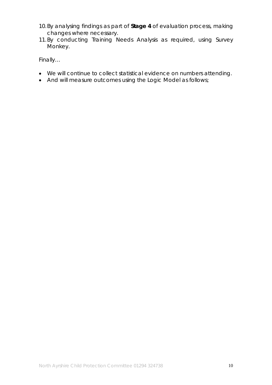- 10.By analysing findings as part of **Stage 4** of evaluation process, making changes where necessary.
- 11.By conducting Training Needs Analysis as required, using *Survey Monkey*.

Finally…

- We will continue to collect statistical evidence on numbers attending.
- And will measure outcomes using the Logic Model as follows;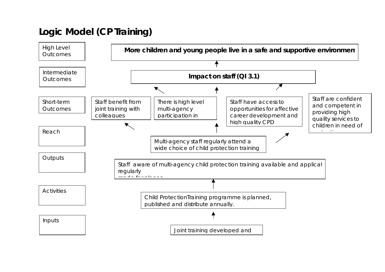# **Logic Model (CP Training)**

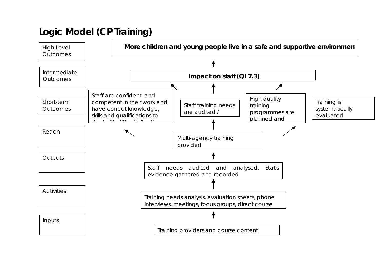# **Logic Model (CP Training)**

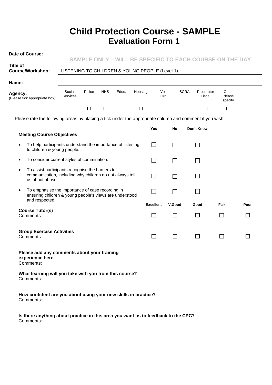### **Child Protection Course - SAMPLE Evaluation Form 1**

| Date of Course:                                                                                                                      |                                                |        |            |        |         |                  |                |                                     |        |                                                          |  |
|--------------------------------------------------------------------------------------------------------------------------------------|------------------------------------------------|--------|------------|--------|---------|------------------|----------------|-------------------------------------|--------|----------------------------------------------------------|--|
| Title of                                                                                                                             |                                                |        |            |        |         |                  |                |                                     |        | SAMPLE ONLY – WILL BE SPECIFIC TO EACH COURSE ON THE DAY |  |
| <b>Course/Workshop:</b>                                                                                                              | LISTENING TO CHILDREN & YOUNG PEOPLE (Level 1) |        |            |        |         |                  |                |                                     |        |                                                          |  |
| Name:                                                                                                                                |                                                |        |            |        |         |                  |                |                                     |        |                                                          |  |
| Agency:<br>(Please tick appropriate box)                                                                                             | Social<br>Services                             | Police | <b>NHS</b> | Educ.  | Housing | Vol.<br>Org      |                | <b>SCRA</b><br>Procurator<br>Fiscal |        | Other<br>Please<br>specify                               |  |
|                                                                                                                                      | $\Box$                                         | $\Box$ | $\Box$     | $\Box$ | $\Box$  | $\Box$           |                | □<br>$\Box$                         |        | $\Box$                                                   |  |
| Please rate the following areas by placing a tick under the appropriate column and comment if you wish.                              |                                                |        |            |        |         |                  |                |                                     |        |                                                          |  |
|                                                                                                                                      |                                                |        |            |        |         | Yes              | No             | Don't Know                          |        |                                                          |  |
| <b>Meeting Course Objectives</b>                                                                                                     |                                                |        |            |        |         |                  |                |                                     |        |                                                          |  |
| $\overline{\phantom{a}}$<br>To help participants understand the importance of listening<br>٠<br>to children & young people.          |                                                |        |            |        |         |                  |                |                                     |        |                                                          |  |
| To consider current styles of commination.<br>٠                                                                                      |                                                |        |            |        |         | $\sim$           | $\blacksquare$ |                                     |        |                                                          |  |
| To assist participants recognise the barriers to<br>٠<br>communication, including why children do not always tell<br>us about abuse. |                                                |        |            |        |         | $\sim$           |                |                                     |        |                                                          |  |
| To emphasise the importance of case recording in<br>٠<br>ensuring children & young people's views are understood                     |                                                |        |            |        |         |                  |                |                                     |        |                                                          |  |
| and respected.                                                                                                                       |                                                |        |            |        |         | <b>Excellent</b> | V.Good         | Good                                | Fair   | Poor                                                     |  |
| <b>Course Tutor(s)</b><br>Comments:                                                                                                  |                                                |        |            |        |         | $\Box$           |                |                                     | $\Box$ |                                                          |  |
| <b>Group Exercise Activities</b><br>Comments:                                                                                        |                                                |        |            |        |         | $\Box$           | $\blacksquare$ | $\mathcal{L}$                       | $\Box$ |                                                          |  |
| Please add any comments about your training<br>experience here<br>Comments:                                                          |                                                |        |            |        |         |                  |                |                                     |        |                                                          |  |
| What learning will you take with you from this course?<br>Comments:                                                                  |                                                |        |            |        |         |                  |                |                                     |        |                                                          |  |
| How confident are you about using your new skills in practice?                                                                       |                                                |        |            |        |         |                  |                |                                     |        |                                                          |  |

Comments:

**Is there anything about practice in this area you want us to feedback to the CPC?** Comments: